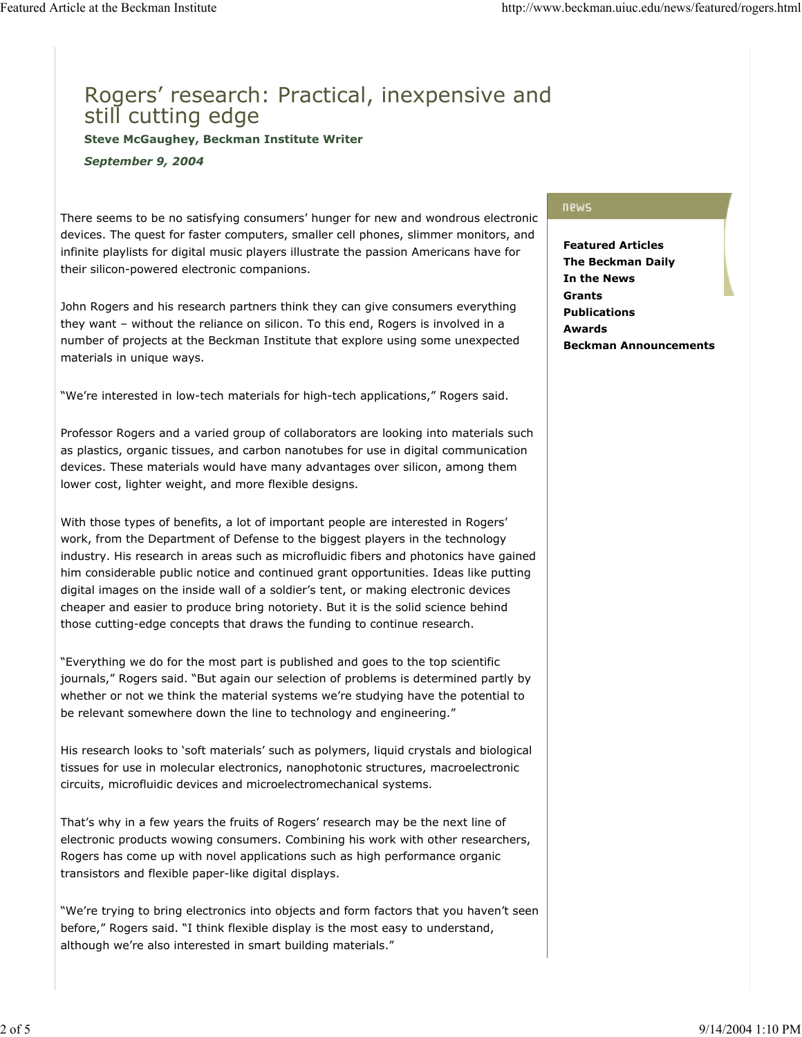## Rogers' research: Practical, inexpensive and still cutting edge

**Steve McGaughey, Beckman Institute Writer**

*September 9, 2004*

There seems to be no satisfying consumers' hunger for new and wondrous electronic devices. The quest for faster computers, smaller cell phones, slimmer monitors, and infinite playlists for digital music players illustrate the passion Americans have for their silicon-powered electronic companions.

John Rogers and his research partners think they can give consumers everything they want – without the reliance on silicon. To this end, Rogers is involved in a number of projects at the Beckman Institute that explore using some unexpected materials in unique ways.

"We're interested in low-tech materials for high-tech applications," Rogers said.

Professor Rogers and a varied group of collaborators are looking into materials such as plastics, organic tissues, and carbon nanotubes for use in digital communication devices. These materials would have many advantages over silicon, among them lower cost, lighter weight, and more flexible designs.

With those types of benefits, a lot of important people are interested in Rogers' work, from the Department of Defense to the biggest players in the technology industry. His research in areas such as microfluidic fibers and photonics have gained him considerable public notice and continued grant opportunities. Ideas like putting digital images on the inside wall of a soldier's tent, or making electronic devices cheaper and easier to produce bring notoriety. But it is the solid science behind those cutting-edge concepts that draws the funding to continue research.

"Everything we do for the most part is published and goes to the top scientific journals," Rogers said. "But again our selection of problems is determined partly by whether or not we think the material systems we're studying have the potential to be relevant somewhere down the line to technology and engineering."

His research looks to 'soft materials' such as polymers, liquid crystals and biological tissues for use in molecular electronics, nanophotonic structures, macroelectronic circuits, microfluidic devices and microelectromechanical systems.

That's why in a few years the fruits of Rogers' research may be the next line of electronic products wowing consumers. Combining his work with other researchers, Rogers has come up with novel applications such as high performance organic transistors and flexible paper-like digital displays.

"We're trying to bring electronics into objects and form factors that you haven't seen before," Rogers said. "I think flexible display is the most easy to understand, although we're also interested in smart building materials."

## news

**Featured Articles The Beckman Daily In the News Grants Publications Awards Beckman Announcements**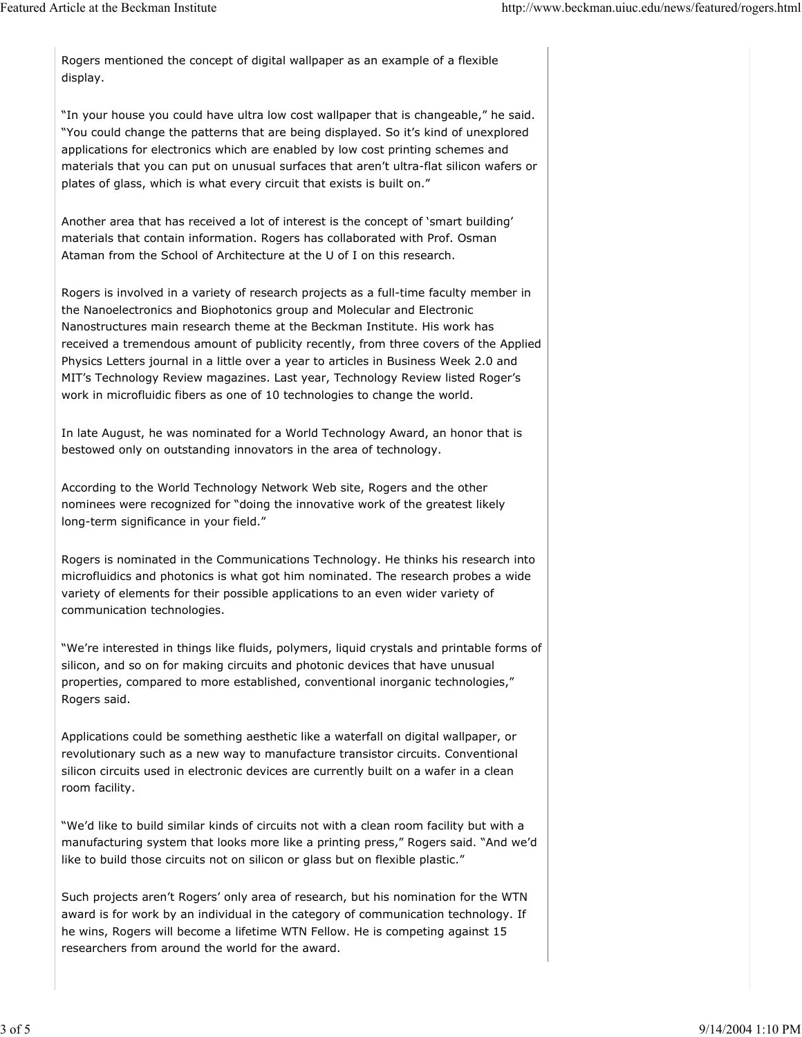Rogers mentioned the concept of digital wallpaper as an example of a flexible display.

"In your house you could have ultra low cost wallpaper that is changeable," he said. "You could change the patterns that are being displayed. So it's kind of unexplored applications for electronics which are enabled by low cost printing schemes and materials that you can put on unusual surfaces that aren't ultra-flat silicon wafers or plates of glass, which is what every circuit that exists is built on."

Another area that has received a lot of interest is the concept of 'smart building' materials that contain information. Rogers has collaborated with Prof. Osman Ataman from the School of Architecture at the U of I on this research.

Rogers is involved in a variety of research projects as a full-time faculty member in the Nanoelectronics and Biophotonics group and Molecular and Electronic Nanostructures main research theme at the Beckman Institute. His work has received a tremendous amount of publicity recently, from three covers of the Applied Physics Letters journal in a little over a year to articles in Business Week 2.0 and MIT's Technology Review magazines. Last year, Technology Review listed Roger's work in microfluidic fibers as one of 10 technologies to change the world.

In late August, he was nominated for a World Technology Award, an honor that is bestowed only on outstanding innovators in the area of technology.

According to the World Technology Network Web site, Rogers and the other nominees were recognized for "doing the innovative work of the greatest likely long-term significance in your field."

Rogers is nominated in the Communications Technology. He thinks his research into microfluidics and photonics is what got him nominated. The research probes a wide variety of elements for their possible applications to an even wider variety of communication technologies.

"We're interested in things like fluids, polymers, liquid crystals and printable forms of silicon, and so on for making circuits and photonic devices that have unusual properties, compared to more established, conventional inorganic technologies," Rogers said.

Applications could be something aesthetic like a waterfall on digital wallpaper, or revolutionary such as a new way to manufacture transistor circuits. Conventional silicon circuits used in electronic devices are currently built on a wafer in a clean room facility.

"We'd like to build similar kinds of circuits not with a clean room facility but with a manufacturing system that looks more like a printing press," Rogers said. "And we'd like to build those circuits not on silicon or glass but on flexible plastic."

Such projects aren't Rogers' only area of research, but his nomination for the WTN award is for work by an individual in the category of communication technology. If he wins, Rogers will become a lifetime WTN Fellow. He is competing against 15 researchers from around the world for the award.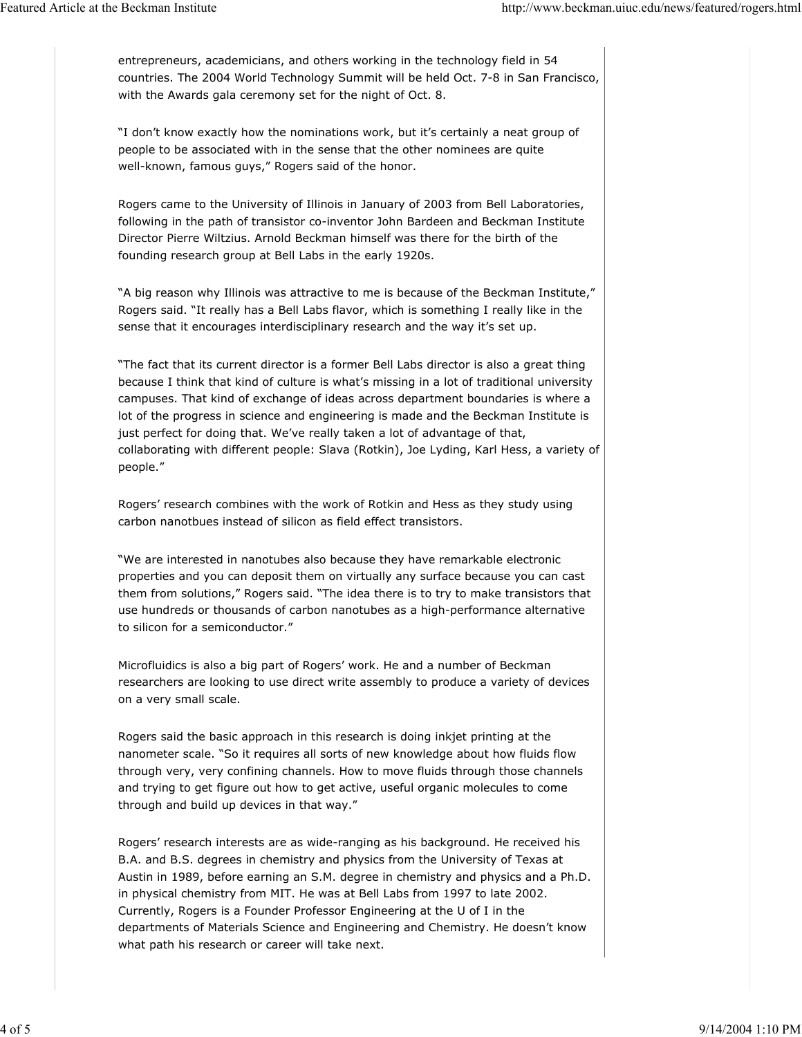entrepreneurs, academicians, and others working in the technology field in 54 countries. The 2004 World Technology Summit will be held Oct. 7-8 in San Francisco, with the Awards gala ceremony set for the night of Oct. 8.

"I don't know exactly how the nominations work, but it's certainly a neat group of people to be associated with in the sense that the other nominees are quite well-known, famous guys," Rogers said of the honor.

Rogers came to the University of Illinois in January of 2003 from Bell Laboratories, following in the path of transistor co-inventor John Bardeen and Beckman Institute Director Pierre Wiltzius. Arnold Beckman himself was there for the birth of the founding research group at Bell Labs in the early 1920s.

"A big reason why Illinois was attractive to me is because of the Beckman Institute," Rogers said. "It really has a Bell Labs flavor, which is something I really like in the sense that it encourages interdisciplinary research and the way it's set up.

"The fact that its current director is a former Bell Labs director is also a great thing because I think that kind of culture is what's missing in a lot of traditional university campuses. That kind of exchange of ideas across department boundaries is where a lot of the progress in science and engineering is made and the Beckman Institute is just perfect for doing that. We've really taken a lot of advantage of that, collaborating with different people: Slava (Rotkin), Joe Lyding, Karl Hess, a variety of people."

Rogers' research combines with the work of Rotkin and Hess as they study using carbon nanotbues instead of silicon as field effect transistors.

"We are interested in nanotubes also because they have remarkable electronic properties and you can deposit them on virtually any surface because you can cast them from solutions," Rogers said. "The idea there is to try to make transistors that use hundreds or thousands of carbon nanotubes as a high-performance alternative to silicon for a semiconductor."

Microfluidics is also a big part of Rogers' work. He and a number of Beckman researchers are looking to use direct write assembly to produce a variety of devices on a very small scale.

Rogers said the basic approach in this research is doing inkjet printing at the nanometer scale. "So it requires all sorts of new knowledge about how fluids flow through very, very confining channels. How to move fluids through those channels and trying to get figure out how to get active, useful organic molecules to come through and build up devices in that way."

Rogers' research interests are as wide-ranging as his background. He received his B.A. and B.S. degrees in chemistry and physics from the University of Texas at Austin in 1989, before earning an S.M. degree in chemistry and physics and a Ph.D. in physical chemistry from MIT. He was at Bell Labs from 1997 to late 2002. Currently, Rogers is a Founder Professor Engineering at the U of I in the departments of Materials Science and Engineering and Chemistry. He doesn't know what path his research or career will take next.